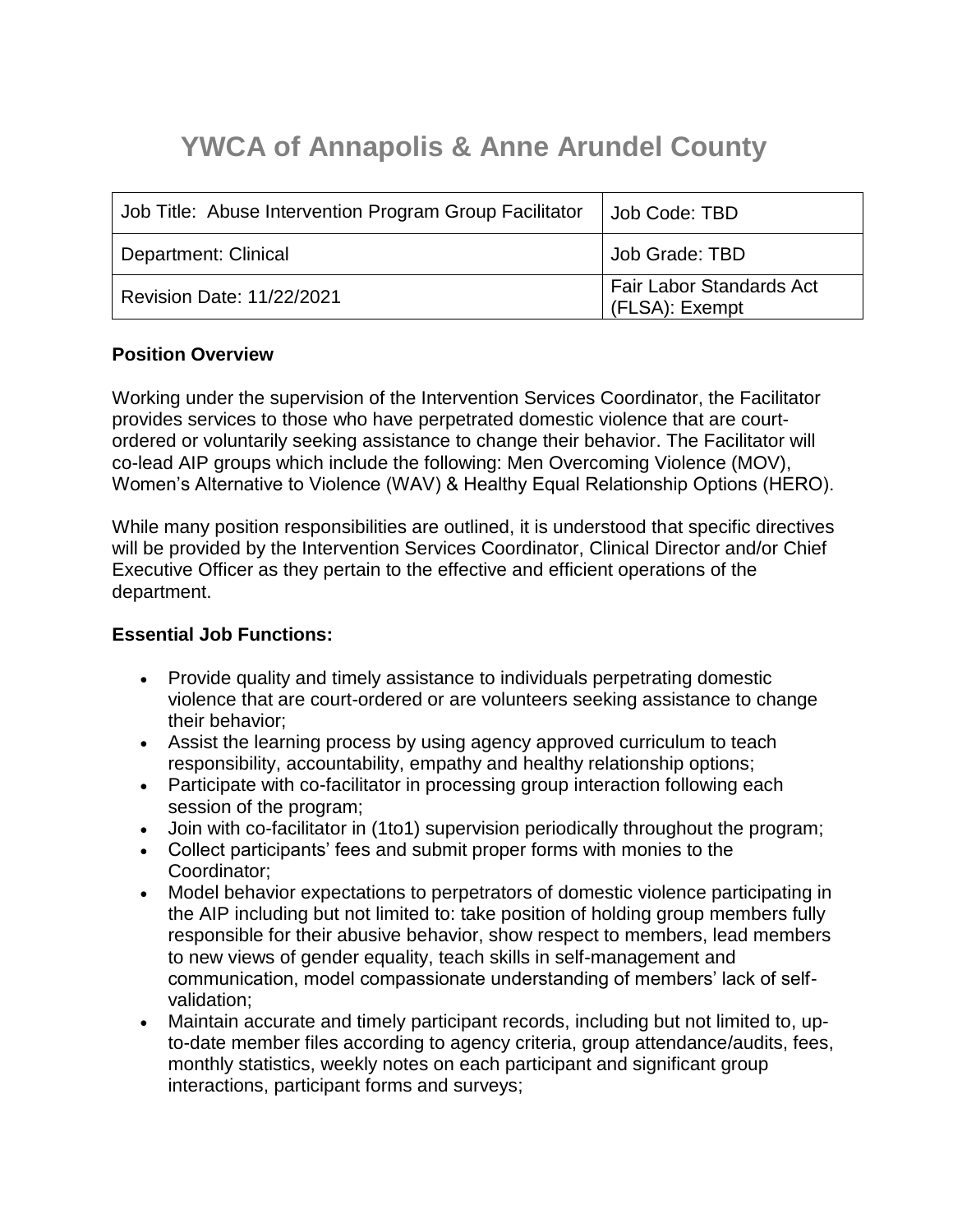# **YWCA of Annapolis & Anne Arundel County**

| Job Title: Abuse Intervention Program Group Facilitator | Job Code: TBD                                     |
|---------------------------------------------------------|---------------------------------------------------|
| Department: Clinical                                    | Job Grade: TBD                                    |
| <b>Revision Date: 11/22/2021</b>                        | <b>Fair Labor Standards Act</b><br>(FLSA): Exempt |

### **Position Overview**

Working under the supervision of the Intervention Services Coordinator, the Facilitator provides services to those who have perpetrated domestic violence that are courtordered or voluntarily seeking assistance to change their behavior. The Facilitator will co-lead AIP groups which include the following: Men Overcoming Violence (MOV), Women's Alternative to Violence (WAV) & Healthy Equal Relationship Options (HERO).

While many position responsibilities are outlined, it is understood that specific directives will be provided by the Intervention Services Coordinator, Clinical Director and/or Chief Executive Officer as they pertain to the effective and efficient operations of the department.

# **Essential Job Functions:**

- Provide quality and timely assistance to individuals perpetrating domestic violence that are court-ordered or are volunteers seeking assistance to change their behavior;
- Assist the learning process by using agency approved curriculum to teach responsibility, accountability, empathy and healthy relationship options;
- Participate with co-facilitator in processing group interaction following each session of the program;
- Join with co-facilitator in (1to1) supervision periodically throughout the program;
- Collect participants' fees and submit proper forms with monies to the Coordinator;
- Model behavior expectations to perpetrators of domestic violence participating in the AIP including but not limited to: take position of holding group members fully responsible for their abusive behavior, show respect to members, lead members to new views of gender equality, teach skills in self-management and communication, model compassionate understanding of members' lack of selfvalidation;
- Maintain accurate and timely participant records, including but not limited to, upto-date member files according to agency criteria, group attendance/audits, fees, monthly statistics, weekly notes on each participant and significant group interactions, participant forms and surveys;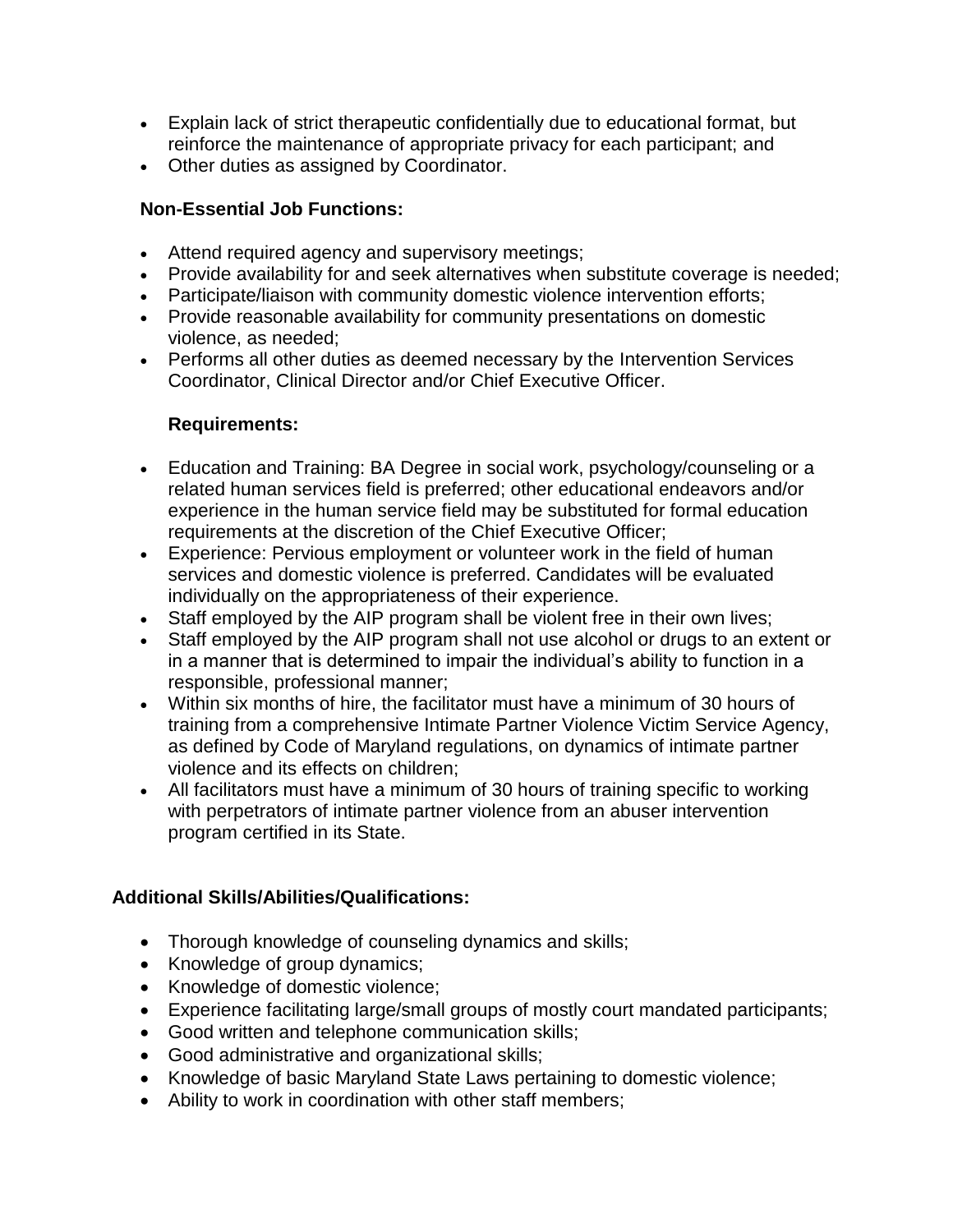- Explain lack of strict therapeutic confidentially due to educational format, but reinforce the maintenance of appropriate privacy for each participant; and
- Other duties as assigned by Coordinator.

## **Non-Essential Job Functions:**

- Attend required agency and supervisory meetings;
- Provide availability for and seek alternatives when substitute coverage is needed;
- Participate/liaison with community domestic violence intervention efforts;
- Provide reasonable availability for community presentations on domestic violence, as needed;
- Performs all other duties as deemed necessary by the Intervention Services Coordinator, Clinical Director and/or Chief Executive Officer.

### **Requirements:**

- Education and Training: BA Degree in social work, psychology/counseling or a related human services field is preferred; other educational endeavors and/or experience in the human service field may be substituted for formal education requirements at the discretion of the Chief Executive Officer;
- Experience: Pervious employment or volunteer work in the field of human services and domestic violence is preferred. Candidates will be evaluated individually on the appropriateness of their experience.
- Staff employed by the AIP program shall be violent free in their own lives;
- Staff employed by the AIP program shall not use alcohol or drugs to an extent or in a manner that is determined to impair the individual's ability to function in a responsible, professional manner;
- Within six months of hire, the facilitator must have a minimum of 30 hours of training from a comprehensive Intimate Partner Violence Victim Service Agency, as defined by Code of Maryland regulations, on dynamics of intimate partner violence and its effects on children;
- All facilitators must have a minimum of 30 hours of training specific to working with perpetrators of intimate partner violence from an abuser intervention program certified in its State.

# **Additional Skills/Abilities/Qualifications:**

- Thorough knowledge of counseling dynamics and skills;
- Knowledge of group dynamics;
- Knowledge of domestic violence;
- Experience facilitating large/small groups of mostly court mandated participants;
- Good written and telephone communication skills;
- Good administrative and organizational skills;
- Knowledge of basic Maryland State Laws pertaining to domestic violence;
- Ability to work in coordination with other staff members;